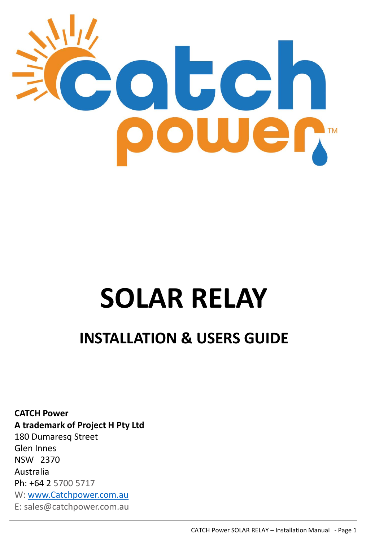

# **SOLAR RELAY**

## **INSTALLATION & USERS GUIDE**

**CATCH Power A trademark of Project H Pty Ltd** 180 Dumaresq Street Glen Innes NSW 2370 Australia Ph: +64 2 5700 5717 W: [www.Catchpower.com.au](http://www.catchpower.com.au/) E: sales@catchpower.com.au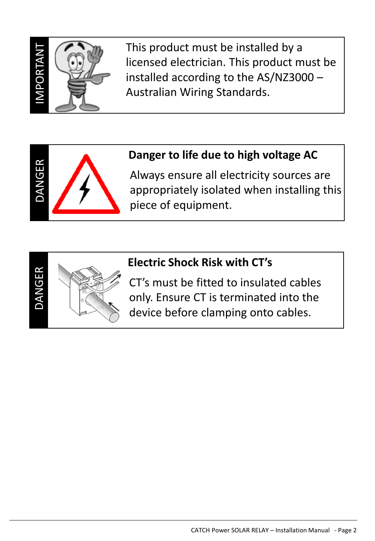

DANGER

This product must be installed by a licensed electrician. This product must be installed according to the AS/NZ3000 – Australian Wiring Standards.

## **Danger to life due to high voltage AC**

Always ensure all electricity sources are appropriately isolated when installing this piece of equipment.



## **Electric Shock Risk with CT's**

CT's must be fitted to insulated cables only. Ensure CT is terminated into the device before clamping onto cables.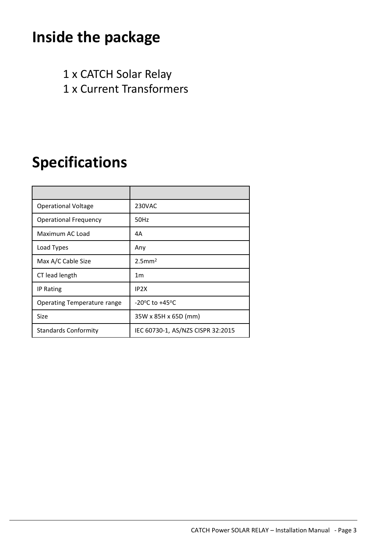## **Inside the package**

1 x CATCH Solar Relay

1 x Current Transformers

## **Specifications**

| <b>Operational Voltage</b>         | <b>230VAC</b>                      |
|------------------------------------|------------------------------------|
| <b>Operational Frequency</b>       | 50Hz                               |
| Maximum AC Load                    | 4A                                 |
| Load Types                         | Any                                |
| Max A/C Cable Size                 | $2.5$ mm <sup>2</sup>              |
| CT lead length                     | 1 <sub>m</sub>                     |
| <b>IP Rating</b>                   | IP <sub>2X</sub>                   |
| <b>Operating Temperature range</b> | -20 $\degree$ C to +45 $\degree$ C |
| Size                               | 35W x 85H x 65D (mm)               |
| <b>Standards Conformity</b>        | IEC 60730-1, AS/NZS CISPR 32:2015  |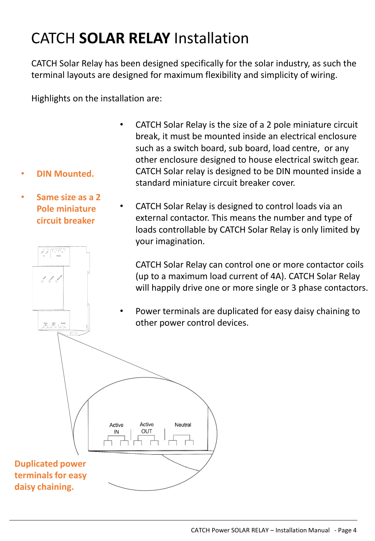## CATCH **SOLAR RELAY** Installation

CATCH Solar Relay has been designed specifically for the solar industry, as such the terminal layouts are designed for maximum flexibility and simplicity of wiring.

Highlights on the installation are:

- CATCH Solar Relay is the size of a 2 pole miniature circuit break, it must be mounted inside an electrical enclosure such as a switch board, sub board, load centre, or any other enclosure designed to house electrical switch gear. CATCH Solar relay is designed to be DIN mounted inside a standard miniature circuit breaker cover.
- **Same size as a 2 Pole miniature circuit breaker**

**Contract Contract Contract Contract** 

Active Active Neutral  $\overline{\phantom{a}^{N+1}}$ 

• **DIN Mounted.**

• CATCH Solar Relay is designed to control loads via an external contactor. This means the number and type of loads controllable by CATCH Solar Relay is only limited by your imagination.

CATCH Solar Relay can control one or more contactor coils (up to a maximum load current of 4A). CATCH Solar Relay will happily drive one or more single or 3 phase contactors.

• Power terminals are duplicated for easy daisy chaining to other power control devices.

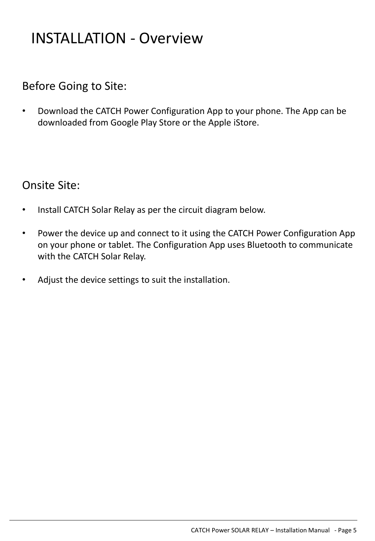## INSTALLATION - Overview

## Before Going to Site:

• Download the CATCH Power Configuration App to your phone. The App can be downloaded from Google Play Store or the Apple iStore.

## Onsite Site:

- Install CATCH Solar Relay as per the circuit diagram below.
- Power the device up and connect to it using the CATCH Power Configuration App on your phone or tablet. The Configuration App uses Bluetooth to communicate with the CATCH Solar Relay.
- Adjust the device settings to suit the installation.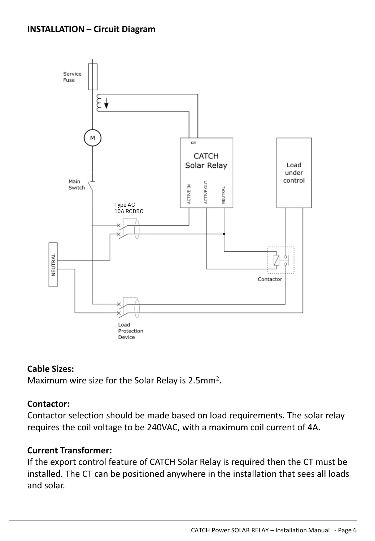

## **Cable Sizes:**

Maximum wire size for the Solar Relay is 2.5mm<sup>2</sup>.

## **Contactor:**

Contactor selection should be made based on load requirements. The solar relay requires the coil voltage to be 240VAC, with a maximum coil current of 4A.

### **Current Transformer:**

If the export control feature of CATCH Solar Relay is required then the CT must be installed. The CT can be positioned anywhere in the installation that sees all loads and solar.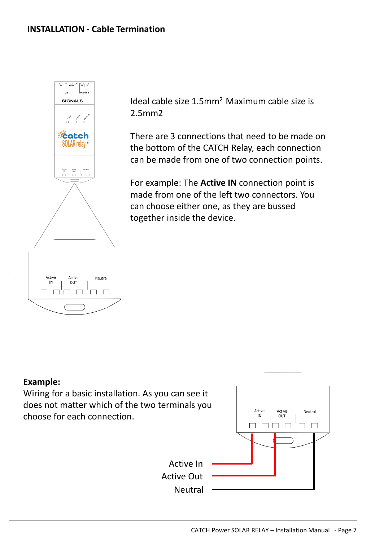

Ideal cable size 1.5mm<sup>2</sup> Maximum cable size is 2.5mm2

There are 3 connections that need to be made on the bottom of the CATCH Relay, each connection can be made from one of two connection points.

For example: The **Active IN** connection point is made from one of the left two connectors. You can choose either one, as they are bussed together inside the device.

### **Example:**

Wiring for a basic installation. As you can see it does not matter which of the two terminals you choose for each connection.

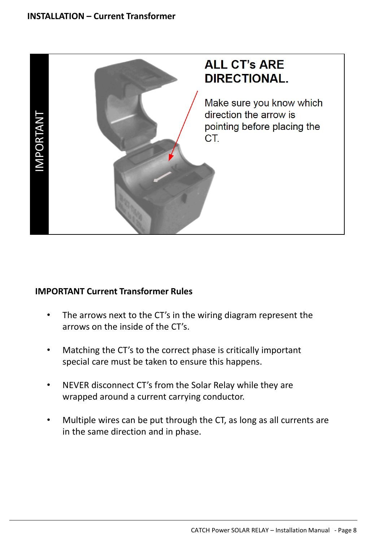

- The arrows next to the CT's in the wiring diagram represent the arrows on the inside of the CT's.
- Matching the CT's to the correct phase is critically important special care must be taken to ensure this happens.
- NEVER disconnect CT's from the Solar Relay while they are wrapped around a current carrying conductor.
- Multiple wires can be put through the CT, as long as all currents are in the same direction and in phase.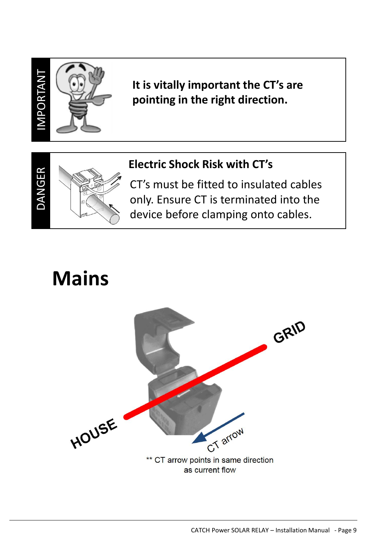

DANGER

## **It is vitally important the CT's are pointing in the right direction.**

## **Electric Shock Risk with CT's**

CT's must be fitted to insulated cables only. Ensure CT is terminated into the device before clamping onto cables.

## **Mains**

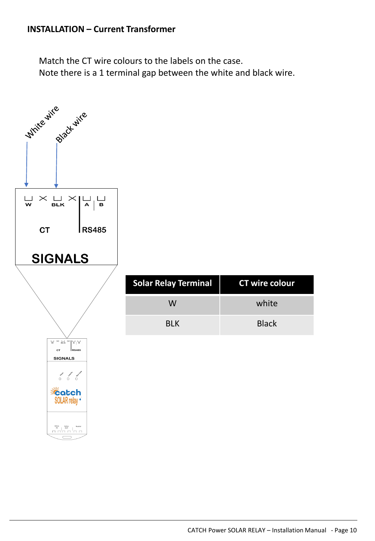## **INSTALLATION – Current Transformer**

Match the CT wire colours to the labels on the case. Note there is a 1 terminal gap between the white and black wire.

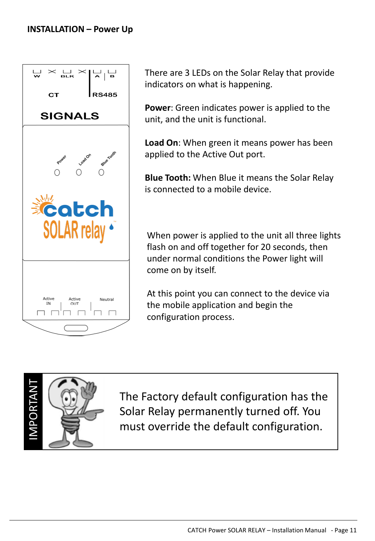

There are 3 LEDs on the Solar Relay that provide indicators on what is happening.

**Power**: Green indicates power is applied to the unit, and the unit is functional.

**Load On**: When green it means power has been applied to the Active Out port.

**Blue Tooth:** When Blue it means the Solar Relay is connected to a mobile device.

When power is applied to the unit all three lights flash on and off together for 20 seconds, then under normal conditions the Power light will come on by itself.

At this point you can connect to the device via the mobile application and begin the configuration process.



The Factory default configuration has the Solar Relay permanently turned off. You must override the default configuration.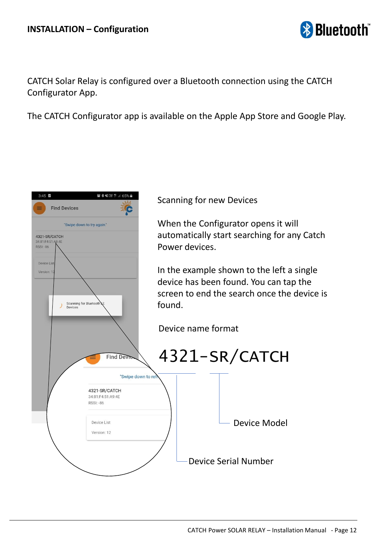

CATCH Solar Relay is configured over a Bluetooth connection using the CATCH Configurator App.

The CATCH Configurator app is available on the Apple App Store and Google Play.

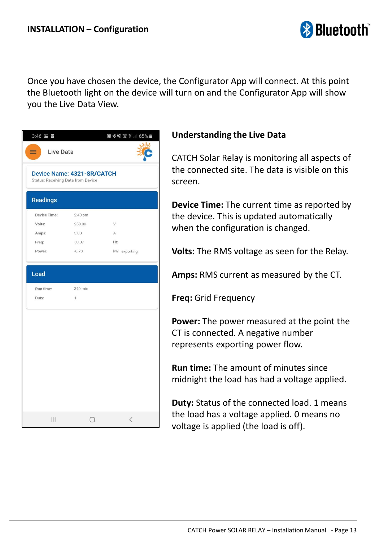

Once you have chosen the device, the Configurator App will connect. At this point the Bluetooth light on the device will turn on and the Configurator App will show you the Live Data View.

| $3:46$ $\blacksquare$                                                   |                         |                                          |
|-------------------------------------------------------------------------|-------------------------|------------------------------------------|
| Live Data<br>≡                                                          |                         |                                          |
| Device Name: 4321-SR/CATCH<br><b>Status: Receiving Data from Device</b> |                         |                                          |
| <b>Readings</b>                                                         |                         |                                          |
| <b>Device Time:</b>                                                     | 2:40 pm                 |                                          |
| Volts:                                                                  | 250.00                  | V                                        |
| Amps:                                                                   | 3.00                    | A                                        |
| Freq:                                                                   | 50.07                   | Hz                                       |
| Power:                                                                  | $-0.70$                 | kW exporting                             |
| Run time:<br>Duty:                                                      | 340 min<br>$\mathbb{I}$ |                                          |
|                                                                         |                         |                                          |
|                                                                         |                         |                                          |
|                                                                         |                         |                                          |
|                                                                         |                         |                                          |
|                                                                         |                         | $\overline{\left\langle \right\rangle }$ |

## **Understanding the Live Data**

CATCH Solar Relay is monitoring all aspects of the connected site. The data is visible on this screen.

**Device Time:** The current time as reported by the device. This is updated automatically when the configuration is changed.

**Volts:** The RMS voltage as seen for the Relay.

**Amps:** RMS current as measured by the CT.

**Freq:** Grid Frequency

**Power:** The power measured at the point the CT is connected. A negative number represents exporting power flow.

**Run time:** The amount of minutes since midnight the load has had a voltage applied.

**Duty:** Status of the connected load. 1 means the load has a voltage applied. 0 means no voltage is applied (the load is off).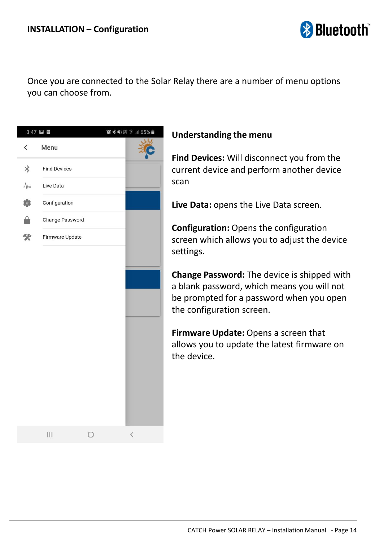

Once you are connected to the Solar Relay there are a number of menu options you can choose from.



## **Understanding the menu**

**Find Devices:** Will disconnect you from the current device and perform another device scan

**Live Data:** opens the Live Data screen.

**Configuration:** Opens the configuration screen which allows you to adjust the device settings.

**Change Password:** The device is shipped with a blank password, which means you will not be prompted for a password when you open the configuration screen.

**Firmware Update:** Opens a screen that allows you to update the latest firmware on the device.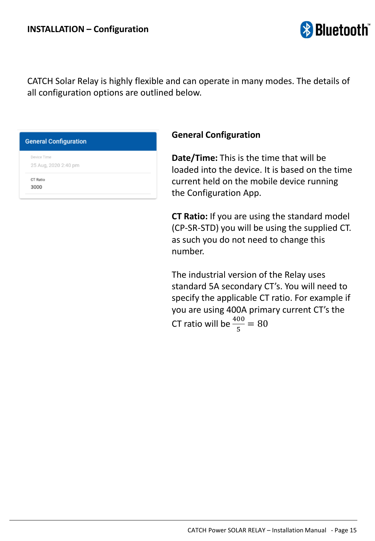

CATCH Solar Relay is highly flexible and can operate in many modes. The details of all configuration options are outlined below.

#### **General Configuration**

Device Time 25 Aug, 2020 2:40 pm

CT Ratio 3000

#### **General Configuration**

**Date/Time:** This is the time that will be loaded into the device. It is based on the time current held on the mobile device running the Configuration App.

**CT Ratio:** If you are using the standard model (CP-SR-STD) you will be using the supplied CT. as such you do not need to change this number.

The industrial version of the Relay uses standard 5A secondary CT's. You will need to specify the applicable CT ratio. For example if you are using 400A primary current CT's the CT ratio will be  $\frac{400}{5} = 80$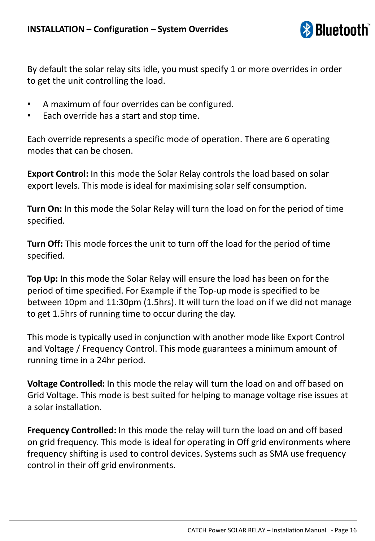

By default the solar relay sits idle, you must specify 1 or more overrides in order to get the unit controlling the load.

- A maximum of four overrides can be configured.
- Each override has a start and stop time.

Each override represents a specific mode of operation. There are 6 operating modes that can be chosen.

**Export Control:** In this mode the Solar Relay controls the load based on solar export levels. This mode is ideal for maximising solar self consumption.

**Turn On:** In this mode the Solar Relay will turn the load on for the period of time specified.

**Turn Off:** This mode forces the unit to turn off the load for the period of time specified.

**Top Up:** In this mode the Solar Relay will ensure the load has been on for the period of time specified. For Example if the Top-up mode is specified to be between 10pm and 11:30pm (1.5hrs). It will turn the load on if we did not manage to get 1.5hrs of running time to occur during the day.

This mode is typically used in conjunction with another mode like Export Control and Voltage / Frequency Control. This mode guarantees a minimum amount of running time in a 24hr period.

**Voltage Controlled:** In this mode the relay will turn the load on and off based on Grid Voltage. This mode is best suited for helping to manage voltage rise issues at a solar installation.

**Frequency Controlled:** In this mode the relay will turn the load on and off based on grid frequency. This mode is ideal for operating in Off grid environments where frequency shifting is used to control devices. Systems such as SMA use frequency control in their off grid environments.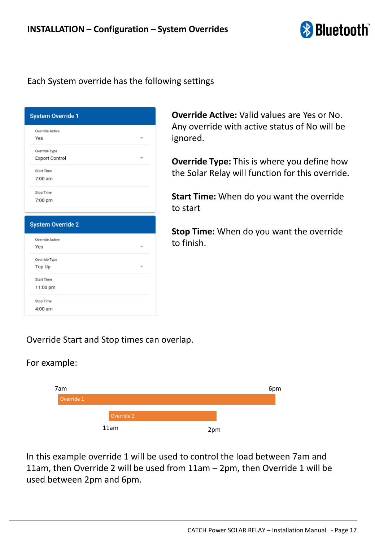

### Each System override has the following settings

| <b>System Override 1</b> |  |
|--------------------------|--|
| Override Active          |  |
| Yes                      |  |
| Override Type            |  |
| <b>Export Control</b>    |  |
| <b>Start Time</b>        |  |
| 7:00 am                  |  |
| Stop Time                |  |
| 7:00 pm                  |  |
|                          |  |
|                          |  |
| <b>System Override 2</b> |  |
| Override Active          |  |
| Yes                      |  |
| Override Type            |  |
| Top Up                   |  |
| Start Time               |  |
| 11:00 pm                 |  |
| Stop Time                |  |

**Override Active:** Valid values are Yes or No. Any override with active status of No will be ignored.

**Override Type:** This is where you define how the Solar Relay will function for this override.

**Start Time:** When do you want the override to start

**Stop Time:** When do you want the override to finish.

### Override Start and Stop times can overlap.

#### For example:



In this example override 1 will be used to control the load between 7am and 11am, then Override 2 will be used from 11am – 2pm, then Override 1 will be used between 2pm and 6pm.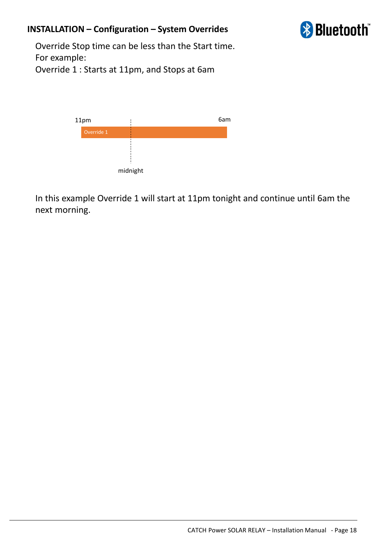## **INSTALLATION – Configuration – System Overrides**



Override Stop time can be less than the Start time. For example: Override 1 : Starts at 11pm, and Stops at 6am



In this example Override 1 will start at 11pm tonight and continue until 6am the next morning.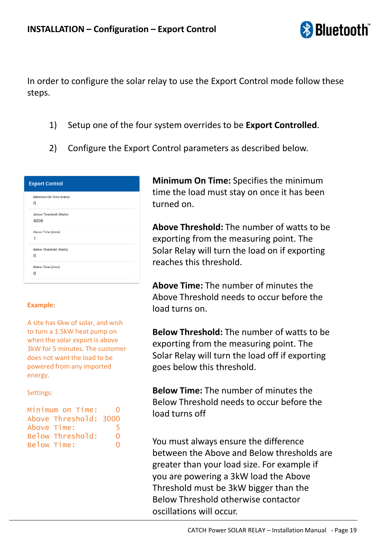

In order to configure the solar relay to use the Export Control mode follow these steps.

- 1) Setup one of the four system overrides to be **Export Controlled**.
- 2) Configure the Export Control parameters as described below.

| <b>Export Control</b>  |                         |  |  |  |
|------------------------|-------------------------|--|--|--|
| O                      | Minimum On Time (mins)  |  |  |  |
| 6000                   | Above Threshold (Watts) |  |  |  |
| Above Time (mins)<br>1 |                         |  |  |  |
| 0                      | Below Threshold (Watts) |  |  |  |
| Below Time (mins)<br>0 |                         |  |  |  |

#### **Example:**

A site has 6kw of solar, and wish to turn a 1.5kW heat pump on when the solar export is above 3kW for 5 minutes. The customer does not want the load to be powered from any imported energy.

Settings:

| Minimum on Time:      | 0        |
|-----------------------|----------|
| Above Threshold: 3000 |          |
| Above Time:           | ь        |
| Below Threshold:      | O        |
| Below Time:           | $\Omega$ |

**Minimum On Time:** Specifies the minimum time the load must stay on once it has been turned on.

**Above Threshold:** The number of watts to be exporting from the measuring point. The Solar Relay will turn the load on if exporting reaches this threshold.

**Above Time:** The number of minutes the Above Threshold needs to occur before the load turns on.

**Below Threshold:** The number of watts to be exporting from the measuring point. The Solar Relay will turn the load off if exporting goes below this threshold.

**Below Time:** The number of minutes the Below Threshold needs to occur before the load turns off

You must always ensure the difference between the Above and Below thresholds are greater than your load size. For example if you are powering a 3kW load the Above Threshold must be 3kW bigger than the Below Threshold otherwise contactor oscillations will occur.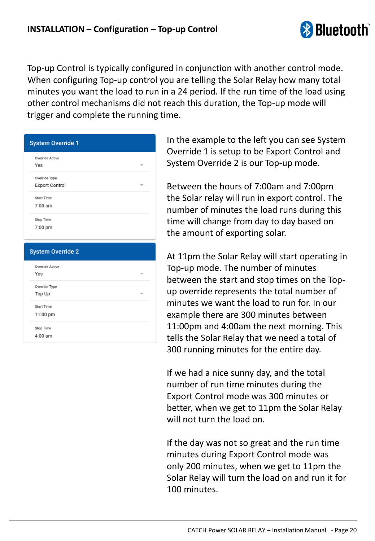

Top-up Control is typically configured in conjunction with another control mode. When configuring Top-up control you are telling the Solar Relay how many total minutes you want the load to run in a 24 period. If the run time of the load using other control mechanisms did not reach this duration, the Top-up mode will trigger and complete the running time.

| <b>System Override 1</b> |  |
|--------------------------|--|
| Override Active          |  |
| Yes                      |  |
| Override Type            |  |
| <b>Export Control</b>    |  |
| <b>Start Time</b>        |  |
| 7:00 am                  |  |
| Stop Time                |  |
| 7:00 pm                  |  |
|                          |  |

| <b>System Override 2</b> |  |
|--------------------------|--|
| Override Active          |  |
| Yes                      |  |
| Override Type            |  |
| Top Up                   |  |
| <b>Start Time</b>        |  |
| 11:00 pm                 |  |
| Stop Time                |  |
| 4:00 am                  |  |
|                          |  |

In the example to the left you can see System Override 1 is setup to be Export Control and System Override 2 is our Top-up mode.

Between the hours of 7:00am and 7:00pm the Solar relay will run in export control. The number of minutes the load runs during this time will change from day to day based on the amount of exporting solar.

At 11pm the Solar Relay will start operating in Top-up mode. The number of minutes between the start and stop times on the Topup override represents the total number of minutes we want the load to run for. In our example there are 300 minutes between 11:00pm and 4:00am the next morning. This tells the Solar Relay that we need a total of 300 running minutes for the entire day.

If we had a nice sunny day, and the total number of run time minutes during the Export Control mode was 300 minutes or better, when we get to 11pm the Solar Relay will not turn the load on.

If the day was not so great and the run time minutes during Export Control mode was only 200 minutes, when we get to 11pm the Solar Relay will turn the load on and run it for 100 minutes.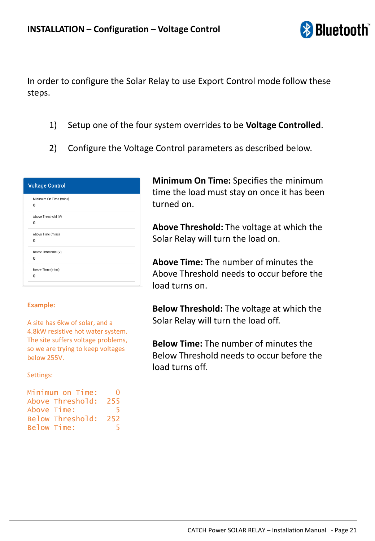

In order to configure the Solar Relay to use Export Control mode follow these steps.

- 1) Setup one of the four system overrides to be **Voltage Controlled**.
- 2) Configure the Voltage Control parameters as described below.

| <b>Voltage Control</b> |                             |  |
|------------------------|-----------------------------|--|
|                        | Minimum On Time (mins)<br>0 |  |
|                        | Above Threshold (V)<br>0    |  |
|                        | Above Time (mins)<br>0      |  |
|                        | Below Threshold (V)<br>0    |  |
|                        | Below Time (mins)           |  |
|                        | $\Omega$                    |  |

#### **Example:**

A site has 6kw of solar, and a 4.8kW resistive hot water system. The site suffers voltage problems, so we are trying to keep voltages below 255V.

Settings:

| Minimum on Time:     | $\lceil$ |
|----------------------|----------|
| Above Threshold: 255 |          |
| Above Time:          | 5.       |
| Below Threshold: 252 |          |
| Below Time:          | ь        |
|                      |          |

**Minimum On Time:** Specifies the minimum time the load must stay on once it has been turned on.

**Above Threshold:** The voltage at which the Solar Relay will turn the load on.

**Above Time:** The number of minutes the Above Threshold needs to occur before the load turns on.

**Below Threshold:** The voltage at which the Solar Relay will turn the load off.

**Below Time:** The number of minutes the Below Threshold needs to occur before the load turns off.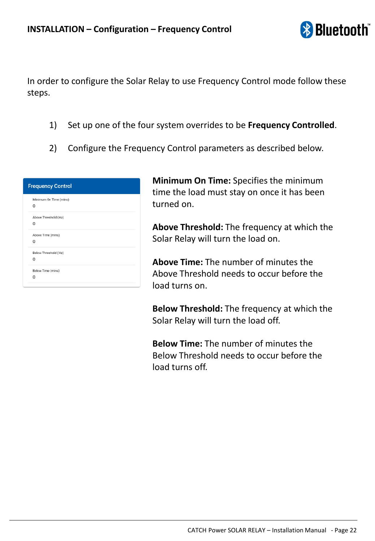

In order to configure the Solar Relay to use Frequency Control mode follow these steps.

- 1) Set up one of the four system overrides to be **Frequency Controlled**.
- 2) Configure the Frequency Control parameters as described below.

| <b>Frequency Control</b>           |  |
|------------------------------------|--|
| Minimum On Time (mins)<br>$\Omega$ |  |
| Above Threshold (Hz)<br>0          |  |
| Above Time (mins)<br>0             |  |
| Below Threshold (Hz)<br>0          |  |
| Below Time (mins)<br>O             |  |

**Minimum On Time:** Specifies the minimum time the load must stay on once it has been turned on.

**Above Threshold:** The frequency at which the Solar Relay will turn the load on.

**Above Time:** The number of minutes the Above Threshold needs to occur before the load turns on.

**Below Threshold:** The frequency at which the Solar Relay will turn the load off.

**Below Time:** The number of minutes the Below Threshold needs to occur before the load turns off.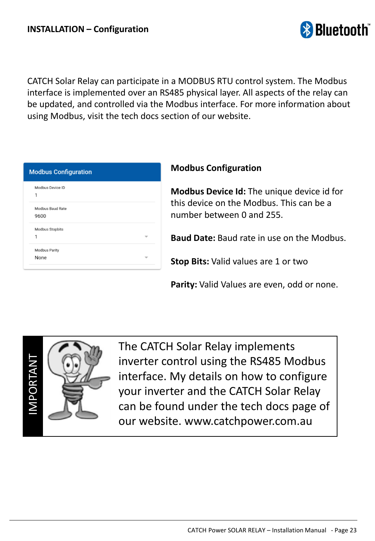

CATCH Solar Relay can participate in a MODBUS RTU control system. The Modbus interface is implemented over an RS485 physical layer. All aspects of the relay can be updated, and controlled via the Modbus interface. For more information about using Modbus, visit the tech docs section of our website.

| Modbus Device ID<br>1<br>Modbus Baud Rate<br>9600<br>Modbus Stopbits<br>1<br>Modbus Parity<br>None | <b>Modbus Configuration</b> |  |
|----------------------------------------------------------------------------------------------------|-----------------------------|--|
|                                                                                                    |                             |  |
|                                                                                                    |                             |  |
|                                                                                                    |                             |  |
|                                                                                                    |                             |  |

#### **Modbus Configuration**

**Modbus Device Id:** The unique device id for this device on the Modbus. This can be a number between 0 and 255.

**Baud Date:** Baud rate in use on the Modbus.

**Stop Bits:** Valid values are 1 or two

**Parity:** Valid Values are even, odd or none.



The CATCH Solar Relay implements inverter control using the RS485 Modbus interface. My details on how to configure your inverter and the CATCH Solar Relay can be found under the tech docs page of our website. www.catchpower.com.au